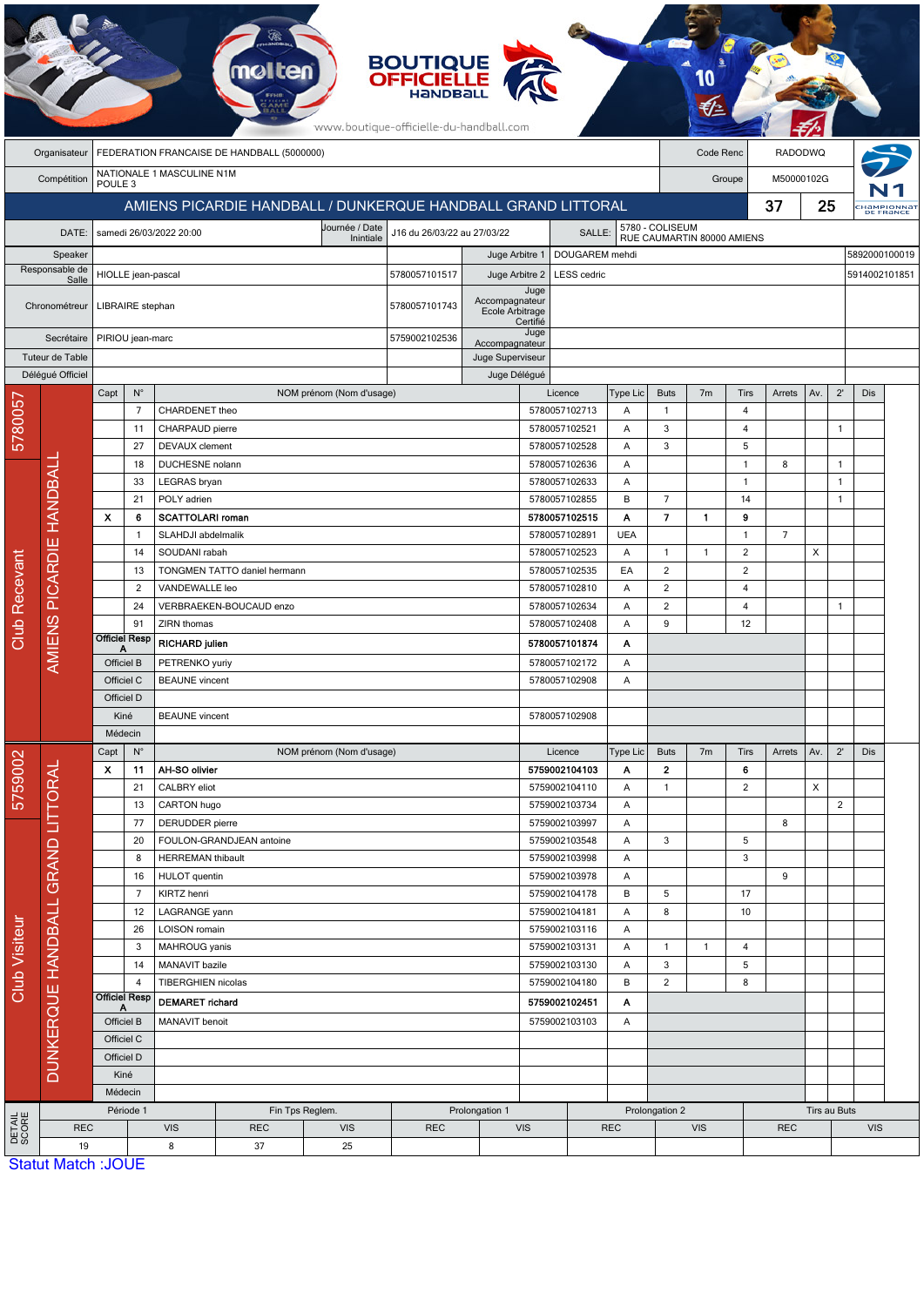|                      |                           |                           |                                                                                   |                             | <b>melten</b>                                                |                             | <b>BOUTIQUE<br/>OFFICIELLE</b><br>www.boutique-officielle-du-handball.com |                                   |                  |                                |               |                        |                            |                      |                                                         |     |                                |               |                  |
|----------------------|---------------------------|---------------------------|-----------------------------------------------------------------------------------|-----------------------------|--------------------------------------------------------------|-----------------------------|---------------------------------------------------------------------------|-----------------------------------|------------------|--------------------------------|---------------|------------------------|----------------------------|----------------------|---------------------------------------------------------|-----|--------------------------------|---------------|------------------|
|                      | Organisateur              |                           |                                                                                   |                             | FEDERATION FRANCAISE DE HANDBALL (5000000)                   |                             |                                                                           |                                   |                  |                                |               |                        | Code Renc                  |                      | <b>RADODWQ</b>                                          |     |                                |               |                  |
|                      | Compétition               | POULE <sub>3</sub>        |                                                                                   | NATIONALE 1 MASCULINE N1M   |                                                              |                             |                                                                           |                                   |                  |                                |               |                        |                            | Groupe               | M50000102G                                              |     |                                |               |                  |
|                      |                           |                           |                                                                                   |                             | AMIENS PICARDIE HANDBALL / DUNKERQUE HANDBALL GRAND LITTORAL |                             |                                                                           |                                   |                  |                                |               |                        |                            |                      |                                                         | 25  |                                |               | <b>HaMPIONNa</b> |
|                      | DATE:                     |                           |                                                                                   | samedi 26/03/2022 20:00     |                                                              | Journée / Date<br>Inintiale | J16 du 26/03/22 au 27/03/22                                               |                                   |                  | SALLE:                         |               | 5780 - COLISEUM        | RUE CAUMARTIN 80000 AMIENS |                      |                                                         |     |                                |               |                  |
|                      | Speaker                   |                           |                                                                                   |                             |                                                              |                             |                                                                           | Juge Arbitre 1                    |                  | DOUGAREM mehdi                 |               |                        |                            |                      |                                                         |     |                                | 5892000100019 |                  |
|                      | Responsable de<br>Salle   |                           | HIOLLE jean-pascal                                                                |                             |                                                              |                             | 5780057101517                                                             | Juge Arbitre 2                    |                  | <b>LESS</b> cedric             |               |                        |                            |                      |                                                         |     |                                | 5914002101851 |                  |
|                      | Chronométreur             |                           | LIBRAIRE stephan                                                                  |                             |                                                              |                             | 5780057101743                                                             | Accompagnateur<br>Ecole Arbitrage | Juge<br>Certifié |                                |               |                        |                            |                      |                                                         |     |                                |               |                  |
|                      | Secrétaire                |                           | PIRIOU jean-marc                                                                  |                             |                                                              |                             | 5759002102536<br>Accompagnateur                                           |                                   | Juge             |                                |               |                        |                            |                      |                                                         |     |                                |               |                  |
|                      | Tuteur de Table           |                           |                                                                                   |                             |                                                              |                             |                                                                           | Juge Superviseur                  |                  |                                |               |                        |                            |                      | 37<br>Arrets<br>8<br>$\overline{7}$<br>Arrets<br>8<br>9 |     |                                |               |                  |
|                      | Délégué Officiel          | Capt                      | $\mathsf{N}^\circ$                                                                |                             |                                                              | NOM prénom (Nom d'usage)    |                                                                           | Juge Délégué                      |                  | Licence                        | Type Lic      | <b>Buts</b>            | 7 <sub>m</sub>             | Tirs                 |                                                         | Av. | $2^{\prime}$                   | Dis           |                  |
|                      |                           |                           | $\overline{7}$                                                                    | CHARDENET theo              |                                                              |                             |                                                                           |                                   |                  | 5780057102713                  | A             | $\mathbf{1}$           |                            | 4                    |                                                         |     |                                |               |                  |
| 578005               |                           |                           | 11                                                                                | CHARPAUD pierre             |                                                              |                             |                                                                           |                                   |                  | 5780057102521                  | Α             | 3                      |                            | 4                    |                                                         |     | $\overline{1}$                 |               |                  |
|                      |                           |                           | 27                                                                                | <b>DEVAUX</b> clement       |                                                              |                             |                                                                           |                                   |                  | 5780057102528                  | Α             | 3                      |                            | 5                    |                                                         |     |                                |               |                  |
|                      |                           |                           | 18                                                                                | DUCHESNE nolann             |                                                              |                             |                                                                           |                                   |                  | 5780057102636                  | Α             |                        |                            | $\overline{1}$       |                                                         |     | $\mathbf{1}$                   |               |                  |
|                      |                           |                           | 33<br>21                                                                          | LEGRAS bryan<br>POLY adrien |                                                              |                             |                                                                           |                                   |                  | 5780057102633<br>5780057102855 | Α<br>B        | $\overline{7}$         |                            | $\overline{1}$<br>14 |                                                         |     | $\overline{1}$<br>$\mathbf{1}$ |               |                  |
|                      |                           | $\boldsymbol{\mathsf{x}}$ | 6                                                                                 | <b>SCATTOLARI roman</b>     |                                                              |                             |                                                                           |                                   |                  | 5780057102515                  | Α             | $\overline{7}$         | 1                          | 9                    |                                                         |     |                                |               |                  |
|                      |                           | $\mathbf{1}$              |                                                                                   | SLAHDJI abdelmalik          |                                                              |                             |                                                                           |                                   | 5780057102891    | <b>UEA</b>                     |               |                        | $\overline{1}$             |                      |                                                         |     |                                |               |                  |
|                      |                           |                           | 14                                                                                | SOUDANI rabah               |                                                              |                             |                                                                           |                                   |                  | 5780057102523                  | A             | $\mathbf{1}$           | $\mathbf{1}$               | $\overline{2}$       |                                                         | X   |                                |               |                  |
|                      | AMIENS PICARDIE HANDBALI  |                           | 13                                                                                |                             | TONGMEN TATTO daniel hermann                                 |                             |                                                                           |                                   |                  | 5780057102535                  | EA            | $\overline{c}$         |                            | 2                    |                                                         |     |                                |               |                  |
|                      |                           |                           | 2                                                                                 | VANDEWALLE leo              |                                                              |                             |                                                                           |                                   |                  | 5780057102810                  | Α             | $\overline{c}$         |                            | 4                    |                                                         |     |                                |               |                  |
|                      |                           |                           | 24<br>91                                                                          | ZIRN thomas                 | VERBRAEKEN-BOUCAUD enzo                                      |                             |                                                                           |                                   |                  | 5780057102634<br>5780057102408 | Α<br>Α        | $\overline{c}$<br>9    |                            | 4<br>12              |                                                         |     | $\overline{1}$                 |               |                  |
| <b>Club Recevant</b> |                           | <b>Officiel Resp</b>      |                                                                                   | <b>RICHARD julien</b>       |                                                              |                             |                                                                           |                                   |                  | 5780057101874                  | Α             |                        |                            |                      |                                                         |     |                                |               |                  |
|                      |                           | А<br>Officiel B           |                                                                                   | PETRENKO yuriy              |                                                              |                             |                                                                           |                                   |                  | 5780057102172                  | Α             |                        |                            |                      |                                                         |     |                                |               |                  |
|                      |                           | Officiel C                |                                                                                   | <b>BEAUNE</b> vincent       |                                                              |                             |                                                                           |                                   |                  | 5780057102908                  | Α             |                        |                            |                      |                                                         |     |                                |               |                  |
|                      |                           | Officiel D                |                                                                                   |                             |                                                              |                             |                                                                           |                                   |                  |                                |               |                        |                            |                      |                                                         |     |                                |               |                  |
|                      |                           |                           | Kiné                                                                              | <b>BEAUNE</b> vincent       |                                                              |                             |                                                                           |                                   |                  | 5780057102908                  |               |                        |                            |                      |                                                         |     |                                |               |                  |
|                      |                           |                           | Médecin                                                                           |                             |                                                              |                             |                                                                           |                                   |                  |                                |               |                        |                            |                      |                                                         |     |                                |               |                  |
|                      |                           | Capt<br>x                 | $N^{\circ}$<br>11                                                                 | AH-SO olivier               |                                                              | NOM prénom (Nom d'usage)    |                                                                           |                                   |                  | Licence<br>5759002104103       | Type Lic<br>Α | <b>Buts</b><br>$\bf 2$ | 7 <sub>m</sub>             | Tirs<br>6            |                                                         | Av. | $2^{\prime}$                   | Dis           |                  |
| 5759002              |                           |                           | 21                                                                                | CALBRY eliot                |                                                              |                             |                                                                           |                                   |                  | 5759002104110                  | Α             | $\mathbf{1}$           |                            | $\overline{c}$       |                                                         | X   |                                |               |                  |
|                      |                           |                           | 13                                                                                | CARTON hugo                 |                                                              |                             |                                                                           |                                   |                  | 5759002103734                  | A             |                        |                            |                      |                                                         |     | $\overline{2}$                 |               |                  |
|                      |                           |                           | 77                                                                                | DERUDDER pierre             |                                                              |                             |                                                                           |                                   |                  | 5759002103997                  | A             |                        |                            |                      |                                                         |     |                                |               |                  |
|                      | <b>GRAND LITTORAL</b>     |                           | 20<br>8                                                                           | <b>HERREMAN thibault</b>    | FOULON-GRANDJEAN antoine                                     |                             |                                                                           |                                   |                  | 5759002103548<br>5759002103998 | Α<br>Α        | 3                      |                            | 5<br>3               |                                                         |     |                                |               |                  |
|                      |                           |                           | 16                                                                                | <b>HULOT</b> quentin        |                                                              |                             |                                                                           |                                   |                  | 5759002103978                  | Α             |                        |                            |                      |                                                         |     |                                |               |                  |
|                      |                           |                           | $\overline{7}$                                                                    | KIRTZ henri                 |                                                              |                             |                                                                           |                                   |                  | 5759002104178                  | В             | 5                      |                            | 17                   |                                                         |     |                                |               |                  |
|                      |                           |                           | 12                                                                                | LAGRANGE yann               |                                                              |                             |                                                                           |                                   |                  | 5759002104181                  | Α             | 8                      |                            | 10                   |                                                         |     |                                |               |                  |
|                      |                           |                           | 26<br>LOISON romain                                                               |                             |                                                              | 5759002103116               |                                                                           | Α                                 |                  |                                |               |                        |                            |                      |                                                         |     |                                |               |                  |
|                      |                           |                           | 3                                                                                 | MAHROUG yanis               |                                                              |                             |                                                                           |                                   |                  | 5759002103131                  | A<br>A        | $\mathbf{1}$<br>3      | $\mathbf{1}$               | 4<br>5               |                                                         |     |                                |               |                  |
| <b>Club Visiteur</b> |                           |                           | MANAVIT bazile<br>14<br>5759002103130<br>TIBERGHIEN nicolas<br>5759002104180<br>4 |                             | B                                                            | $\overline{c}$              |                                                                           | 8                                 |                  |                                |               |                        |                            |                      |                                                         |     |                                |               |                  |
|                      |                           |                           | <b>Officiel Resp</b>                                                              | <b>DEMARET</b> richard      |                                                              | 5759002102451<br>A          |                                                                           |                                   |                  |                                |               |                        |                            |                      |                                                         |     |                                |               |                  |
|                      |                           |                           | A<br>Officiel B                                                                   | MANAVIT benoit              |                                                              |                             |                                                                           |                                   | 5759002103103    |                                | A             |                        |                            |                      |                                                         |     |                                |               |                  |
|                      | <b>DUNKERQUE HANDBALL</b> |                           | Officiel C                                                                        |                             |                                                              |                             |                                                                           |                                   |                  |                                |               |                        |                            |                      |                                                         |     |                                |               |                  |
|                      |                           |                           | Officiel D                                                                        |                             |                                                              |                             |                                                                           |                                   |                  |                                |               |                        |                            |                      |                                                         |     |                                |               |                  |
|                      |                           |                           | Kiné                                                                              |                             |                                                              |                             |                                                                           |                                   |                  |                                |               |                        |                            |                      |                                                         |     |                                |               |                  |
|                      |                           |                           | Médecin<br>Période 1                                                              |                             |                                                              | Fin Tps Reglem.             |                                                                           | Prolongation 1                    |                  |                                |               | Prolongation 2         |                            |                      |                                                         |     | Tirs au Buts                   |               |                  |
| DETAIL<br>SCORE      | <b>REC</b>                |                           |                                                                                   | <b>VIS</b>                  | <b>REC</b>                                                   | <b>VIS</b>                  | <b>REC</b>                                                                | <b>VIS</b>                        |                  |                                | <b>REC</b>    |                        | <b>VIS</b>                 |                      | <b>REC</b>                                              |     |                                | <b>VIS</b>    |                  |
|                      | 19                        |                           |                                                                                   | 8                           | 37                                                           | 25                          |                                                                           |                                   |                  |                                |               |                        |                            |                      |                                                         |     |                                |               |                  |

**Statut Match: JOUE**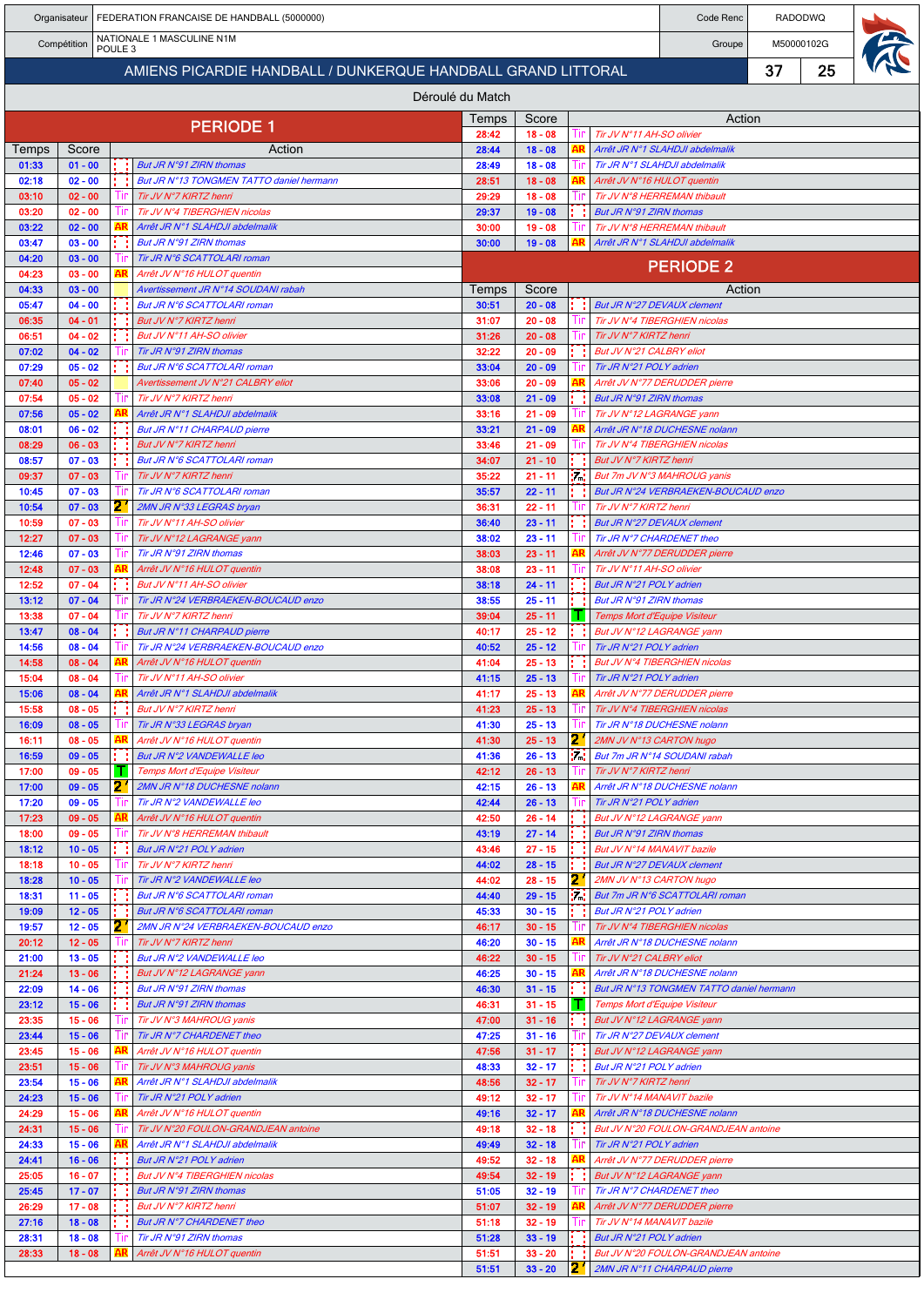|                |                        |                    |      | Organisateur   FEDERATION FRANCAISE DE HANDBALL (5000000)           |                  |                        |          |                                                           | Code Renc                                                             |    | <b>RADODWQ</b> |  |  |
|----------------|------------------------|--------------------|------|---------------------------------------------------------------------|------------------|------------------------|----------|-----------------------------------------------------------|-----------------------------------------------------------------------|----|----------------|--|--|
|                | Compétition            | POULE <sub>3</sub> |      | NATIONALE 1 MASCULINE N1M                                           |                  |                        |          |                                                           | Groupe                                                                |    | M50000102G     |  |  |
|                |                        |                    |      | AMIENS PICARDIE HANDBALL / DUNKERQUE HANDBALL GRAND LITTORAL        |                  |                        |          |                                                           |                                                                       | 37 | 25             |  |  |
|                |                        |                    |      |                                                                     | Déroulé du Match |                        |          |                                                           |                                                                       |    |                |  |  |
|                |                        |                    |      |                                                                     | Temps            | Score                  |          |                                                           | Action                                                                |    |                |  |  |
|                |                        |                    |      | <b>PERIODE 1</b>                                                    | 28:42            | $18 - 08$              | Шr       | Tir JV N°11 AH-SO olivier                                 |                                                                       |    |                |  |  |
| Temps<br>01:33 | Score<br>$01 - 00$     |                    |      | Action<br>But JR N°91 ZIRN thomas                                   | 28:44<br>28:49   | $18 - 08$<br>$18 - 08$ |          |                                                           | Arrêt JR N°1 SLAHDJI abdelmalik<br>Tir JR N°1 SLAHDJI abdelmalik      |    |                |  |  |
| 02:18          | $02 - 00$              |                    |      | But JR N°13 TONGMEN TATTO daniel hermann                            | 28:51            | $18 - 08$              |          | Arrêt JV N°16 HULOT quentin                               |                                                                       |    |                |  |  |
| 03:10<br>03:20 | $02 - 00$<br>$02 - 00$ |                    |      | Tir JV N°7 KIRTZ henri<br>Tir JV N°4 TIBERGHIEN nicolas             | 29:29<br>29:37   | $18 - 08$<br>$19 - 08$ |          | But JR N°91 ZIRN thomas                                   | Tir JV N°8 HERREMAN thibault                                          |    |                |  |  |
| 03:22          | $02 - 00$              |                    |      | Arrêt JR N°1 SLAHDJI abdelmalik                                     | 30:00            | $19 - 08$              |          |                                                           | Tir JV N°8 HERREMAN thibault                                          |    |                |  |  |
| 03:47          | $03 - 00$              |                    |      | But JR N°91 ZIRN thomas                                             | 30:00            | $19 - 08$              |          |                                                           | Arrêt JR N°1 SLAHDJI abdelmalik                                       |    |                |  |  |
| 04:20<br>04:23 | $03 - 00$<br>$03 - 00$ |                    | ۹R   | Tir JR N°6 SCATTOLARI roman<br>Arrêt JV N°16 HULOT quentin          |                  |                        |          |                                                           | <b>PERIODE 2</b>                                                      |    |                |  |  |
| 04:33          | $03 - 00$              |                    |      | Avertissement JR N°14 SOUDANI rabah                                 | Temps            | Score                  |          |                                                           | Action                                                                |    |                |  |  |
| 05:47<br>06:35 | $04 - 00$<br>$04 - 01$ |                    |      | But JR N°6 SCATTOLARI roman<br>But JV N°7 KIRTZ henri               | 30:51<br>31:07   | $20 - 08$<br>$20 - 08$ |          | <b>But JR N°27 DEVAUX clement</b>                         | Tir JV N°4 TIBERGHIEN nicolas                                         |    |                |  |  |
| 06:51          | $04 - 02$              |                    |      | But JV N°11 AH-SO olivier                                           | 31:26            | $20 - 08$              |          | Tir JV N°7 KIRTZ henri                                    |                                                                       |    |                |  |  |
| 07:02          | $04 - 02$              |                    |      | Tir JR N°91 ZIRN thomas                                             | 32:22            | $20 - 09$              |          | But JV N°21 CALBRY eliot                                  |                                                                       |    |                |  |  |
| 07:29<br>07:40 | $05 - 02$<br>$05 - 02$ |                    |      | But JR N°6 SCATTOLARI roman<br>Avertissement JV N°21 CALBRY eliot   | 33:04<br>33:06   | $20 - 09$<br>$20 - 09$ |          | Tir JR N°21 POLY adrien                                   | Arrêt JV N°77 DERUDDER pierre                                         |    |                |  |  |
| 07:54          | $05 - 02$              |                    |      | Tir JV N°7 KIRTZ henri                                              | 33:08            | $21 - 09$              |          | But JR N°91 ZIRN thomas                                   |                                                                       |    |                |  |  |
| 07:56          | $05 - 02$              |                    |      | Arrêt JR N°1 SLAHDJI abdelmalik                                     | 33:16            | $21 - 09$              |          | Tir JV N°12 LAGRANGE yann                                 |                                                                       |    |                |  |  |
| 08:01<br>08:29 | $06 - 02$<br>$06 - 03$ |                    |      | But JR N°11 CHARPAUD pierre<br>But JV N°7 KIRTZ henri               | 33:21<br>33:46   | $21 - 09$<br>$21 - 09$ |          |                                                           | Arrêt JR N°18 DUCHESNE nolann<br>Tir JV N°4 TIBERGHIEN nicolas        |    |                |  |  |
| 08:57          | $07 - 03$              |                    |      | But JR N°6 SCATTOLARI roman                                         | 34:07            | $21 - 10$              |          | But JV N°7 KIRTZ henri                                    |                                                                       |    |                |  |  |
| 09:37          | $07 - 03$              |                    |      | Tir JV N°7 KIRTZ henri                                              | 35:22            | $21 - 11$              | 14       |                                                           | But 7m JV N°3 MAHROUG yanis                                           |    |                |  |  |
| 10:45<br>10:54 | $07 - 03$<br>$07 - 03$ | 2.                 |      | Tir JR N°6 SCATTOLARI roman<br>2MN JR N°33 LEGRAS bryan             | 35:57<br>36:31   | $22 - 11$<br>$22 - 11$ |          | Tir JV N°7 KIRTZ henri                                    | But JR N°24 VERBRAEKEN-BOUCAUD enzo                                   |    |                |  |  |
| 10:59          | $07 - 03$              |                    |      | Tir JV N°11 AH-SO olivier                                           | 36:40            | $23 - 11$              |          |                                                           | But JR N°27 DEVAUX clement                                            |    |                |  |  |
| 12:27          | $07 - 03$              |                    |      | Tir JV N°12 LAGRANGE yann                                           | 38:02            | $23 - 11$              |          | Tir JR N°7 CHARDENET theo                                 |                                                                       |    |                |  |  |
| 12:46<br>12:48 | $07 - 03$<br>$07 - 03$ |                    |      | Tir JR N°91 ZIRN thomas<br>Arrêt JV N°16 HULOT quentin              | 38:03<br>38:08   | $23 - 11$<br>$23 - 11$ | ШD       | Tir JV N°11 AH-SO olivier                                 | Arrêt JV N°77 DERUDDER pierre                                         |    |                |  |  |
| 12:52          | $07 - 04$              |                    |      | But JV N°11 AH-SO olivier                                           | 38:18            | $24 - 11$              |          | But JR N°21 POLY adrien                                   |                                                                       |    |                |  |  |
| 13:12<br>13:38 | $07 - 04$<br>$07 - 04$ |                    |      | Tir JR N°24 VERBRAEKEN-BOUCAUD enzo<br>Tir JV N°7 KIRTZ henri       | 38:55<br>39:04   | $25 - 11$<br>$25 - 11$ |          | But JR N°91 ZIRN thomas<br>Temps Mort d'Equipe Visiteur   |                                                                       |    |                |  |  |
| 13:47          | $08 - 04$              |                    |      | But JR N°11 CHARPAUD pierre                                         | 40:17            | $25 - 12$              |          | But JV N°12 LAGRANGE yann                                 |                                                                       |    |                |  |  |
| 14:56          | $08 - 04$              |                    |      | Tir JR N°24 VERBRAEKEN-BOUCAUD enzo                                 | 40:52            | $25 - 12$              |          | Tir JR N°21 POLY adrien                                   |                                                                       |    |                |  |  |
| 14:58<br>15:04 | $08 - 04$<br>$08 - 04$ |                    |      | Arrêt JV N°16 HULOT quentin<br>Tir JV N°11 AH-SO olivier            | 41:04<br>41:15   | $25 - 13$<br>$25 - 13$ |          | Tir JR N°21 POLY adrien                                   | But JV N°4 TIBERGHIEN nicolas                                         |    |                |  |  |
| 15:06          | $08 - 04$              |                    |      | Arrêt JR N°1 SLAHDJI abdelmalik                                     | 41:17            | $25 - 13$              | AR       |                                                           | Arrêt JV N°77 DERUDDER pierre                                         |    |                |  |  |
| 15:58          | 08 - 05                |                    |      | But JV N°7 KIRTZ henri                                              | 41:23            | $25 - 13$              | HF.      |                                                           | Tir JV N°4 TIBERGHIEN nicolas                                         |    |                |  |  |
| 16:09<br>16:11 | $08 - 05$<br>$08 - 05$ |                    |      | Tir JR N°33 LEGRAS bryan<br>Arrêt JV N°16 HULOT quentin             | 41:30<br>41:30   | $25 - 13$<br>$25 - 13$ | 2        | 2MN JV N°13 CARTON hugo                                   | Tir JR N°18 DUCHESNE nolann                                           |    |                |  |  |
| 16:59          | $09 - 05$              |                    |      | But JR N°2 VANDEWALLE leo                                           | 41:36            | $26 - 13$              | M.       |                                                           | But 7m JR N°14 SOUDANI rabah                                          |    |                |  |  |
| 17:00<br>17:00 | $09 - 05$<br>$09 - 05$ | 21                 | T.   | Temps Mort d'Equipe Visiteur<br>2MN JR N°18 DUCHESNE nolann         | 42:12<br>42:15   | $26 - 13$<br>$26 - 13$ |          | Tir JV N°7 KIRTZ henri                                    | Arrêt JR N°18 DUCHESNE nolann                                         |    |                |  |  |
| 17:20          | $09 - 05$              |                    | -LIP | Tir JR N°2 VANDEWALLE leo                                           | 42:44            | $26 - 13$              | Ш        | Tir JR N°21 POLY adrien                                   |                                                                       |    |                |  |  |
| 17:23          | $09 - 05$              |                    |      | Arrêt JV N°16 HULOT quentin                                         | 42:50            | $26 - 14$              |          |                                                           | But JV N°12 LAGRANGE yann                                             |    |                |  |  |
| 18:00<br>18:12 | $09 - 05$<br>$10 - 05$ |                    |      | Tir JV N°8 HERREMAN thibault<br>But JR N°21 POLY adrien             | 43:19<br>43:46   | $27 - 14$<br>$27 - 15$ |          | But JR N°91 ZIRN thomas<br>But JV N°14 MANAVIT bazile     |                                                                       |    |                |  |  |
| 18:18          | $10 - 05$              |                    |      | Tir JV N°7 KIRTZ henri                                              | 44:02            | $28 - 15$              |          |                                                           | But JR N°27 DEVAUX clement                                            |    |                |  |  |
| 18:28<br>18:31 | $10 - 05$<br>$11 - 05$ |                    |      | Tir JR N°2 VANDEWALLE leo<br>But JR N°6 SCATTOLARI roman            | 44:02<br>44:40   | $28 - 15$<br>$29 - 15$ | 2<br>in. | 2MN JV N°13 CARTON hugo                                   | But 7m JR N°6 SCATTOLARI roman                                        |    |                |  |  |
| 19:09          | $12 - 05$              |                    |      | But JR N°6 SCATTOLARI roman                                         | 45:33            | $30 - 15$              |          | But JR N°21 POLY adrien                                   |                                                                       |    |                |  |  |
| 19:57          | $12 - 05$              | 21                 |      | 2MN JR N°24 VERBRAEKEN-BOUCAUD enzo                                 | 46:17            | $30 - 15$              |          |                                                           | Tir JV N°4 TIBERGHIEN nicolas                                         |    |                |  |  |
| 20:12<br>21:00 | $12 - 05$<br>$13 - 05$ |                    |      | Tir JV N°7 KIRTZ henri<br>But JR N°2 VANDEWALLE leo                 | 46:20<br>46:22   | $30 - 15$<br>$30 - 15$ |          | Tir JV N°21 CALBRY eliot                                  | Arrêt JR N°18 DUCHESNE nolann                                         |    |                |  |  |
| 21:24          | $13 - 06$              |                    |      | But JV N°12 LAGRANGE yann                                           | 46:25            | $30 - 15$              |          |                                                           | Arrêt JR N°18 DUCHESNE nolann                                         |    |                |  |  |
| 22:09          | $14 - 06$              |                    |      | But JR N°91 ZIRN thomas                                             | 46:30            | $31 - 15$              |          |                                                           | But JR N°13 TONGMEN TATTO daniel hermann                              |    |                |  |  |
| 23:12<br>23:35 | $15 - 06$<br>$15 - 06$ |                    |      | But JR N°91 ZIRN thomas<br>Tir JV N°3 MAHROUG yanis                 | 46:31<br>47:00   | $31 - 15$<br>$31 - 16$ |          | Temps Mort d'Equipe Visiteur<br>But JV N°12 LAGRANGE yann |                                                                       |    |                |  |  |
| 23:44          | $15 - 06$              | -l II              |      | Tir JR N°7 CHARDENET theo                                           | 47:25            | $31 - 16$              |          | Tir JR N°27 DEVAUX clement                                |                                                                       |    |                |  |  |
| 23:45          | $15 - 06$              |                    |      | Arrêt JV N°16 HULOT quentin                                         | 47:56            | $31 - 17$              |          |                                                           | But JV N°12 LAGRANGE yann                                             |    |                |  |  |
| 23:51<br>23:54 | $15 - 06$<br>$15 - 06$ |                    | AR   | Tir JV N°3 MAHROUG yanis<br>Arrêt JR N°1 SLAHDJI abdelmalik         | 48:33<br>48:56   | $32 - 17$<br>$32 - 17$ | Шr       | But JR N°21 POLY adrien<br>Tir JV N°7 KIRTZ henri         |                                                                       |    |                |  |  |
| 24:23          | $15 - 06$              |                    |      | Tir JR N°21 POLY adrien                                             | 49:12            | $32 - 17$              |          | Tir JV N°14 MANAVIT bazile                                |                                                                       |    |                |  |  |
| 24:29<br>24:31 | $15 - 06$<br>$15 - 06$ |                    | ΑR   | Arrêt JV N°16 HULOT quentin<br>Tir JV N°20 FOULON-GRANDJEAN antoine | 49:16<br>49:18   | $32 - 17$<br>$32 - 18$ |          |                                                           | Arrêt JR N°18 DUCHESNE nolann<br>But JV N°20 FOULON-GRANDJEAN antoine |    |                |  |  |
| 24:33          | $15 - 06$              |                    |      | Arrêt JR N°1 SLAHDJI abdelmalik                                     | 49:49            | $32 - 18$              |          | Tir JR N°21 POLY adrien                                   |                                                                       |    |                |  |  |
| 24:41          | $16 - 06$              |                    |      | But JR N°21 POLY adrien                                             | 49:52            | $32 - 18$              |          |                                                           | Arrêt JV N°77 DERUDDER pierre                                         |    |                |  |  |
| 25:05<br>25:45 | $16 - 07$<br>$17 - 07$ |                    |      | But JV N°4 TIBERGHIEN nicolas<br>But JR N°91 ZIRN thomas            | 49:54<br>51:05   | $32 - 19$<br>$32 - 19$ |          | But JV N°12 LAGRANGE yann<br>Tir JR N°7 CHARDENET theo    |                                                                       |    |                |  |  |
| 26:29          | $17 - 08$              |                    |      | But JV N°7 KIRTZ henri                                              | 51:07            | $32 - 19$              |          |                                                           | Arrêt JV N°77 DERUDDER pierre                                         |    |                |  |  |
| 27:16          | $18 - 08$              |                    |      | But JR N°7 CHARDENET theo<br>Tir JR N°91 ZIRN thomas                | 51:18            | $32 - 19$              |          | Tir JV N°14 MANAVIT bazile                                |                                                                       |    |                |  |  |
| 28:31<br>28:33 | $18 - 08$<br>$18 - 08$ |                    |      | Arrêt JV N°16 HULOT quentin                                         | 51:28<br>51:51   | $33 - 19$<br>$33 - 20$ |          | But JR N°21 POLY adrien                                   | But JV N°20 FOULON-GRANDJEAN antoine                                  |    |                |  |  |
|                |                        |                    |      |                                                                     | 51:51            | $33 - 20$              | 2        |                                                           | 2MN JR N°11 CHARPAUD pierre                                           |    |                |  |  |